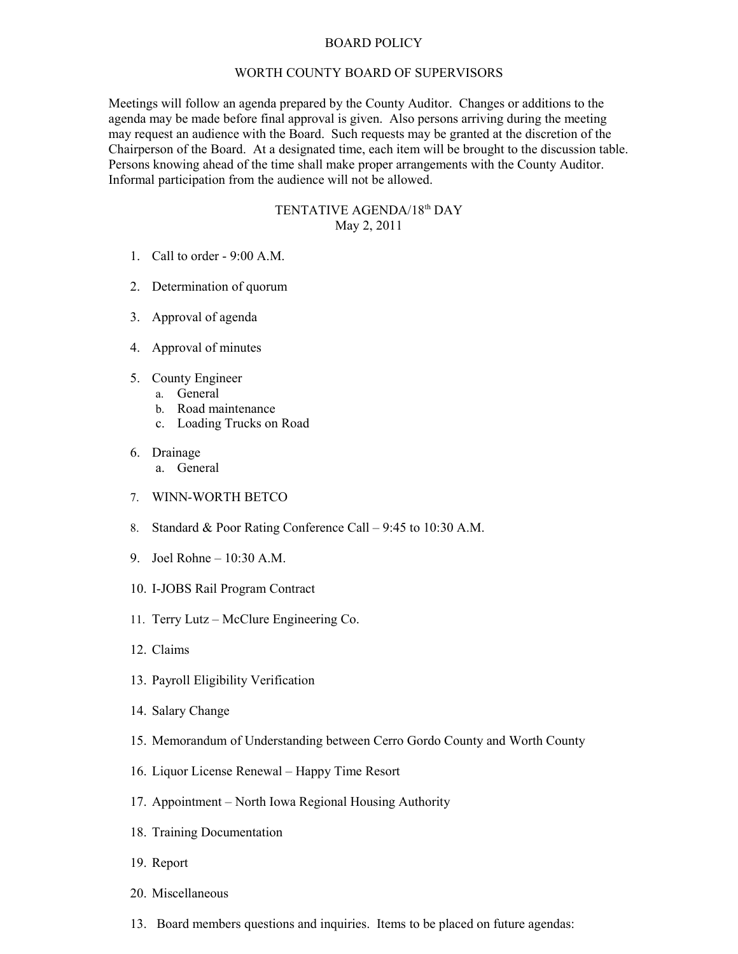## BOARD POLICY

## WORTH COUNTY BOARD OF SUPERVISORS

Meetings will follow an agenda prepared by the County Auditor. Changes or additions to the agenda may be made before final approval is given. Also persons arriving during the meeting may request an audience with the Board. Such requests may be granted at the discretion of the Chairperson of the Board. At a designated time, each item will be brought to the discussion table. Persons knowing ahead of the time shall make proper arrangements with the County Auditor. Informal participation from the audience will not be allowed.

## TENTATIVE AGENDA/18th DAY May 2, 2011

- 1. Call to order 9:00 A.M.
- 2. Determination of quorum
- 3. Approval of agenda
- 4. Approval of minutes
- 5. County Engineer
	- a. General
	- b. Road maintenance
	- c. Loading Trucks on Road
- 6. Drainage
	- a. General
- 7. WINN-WORTH BETCO
- 8. Standard & Poor Rating Conference Call 9:45 to 10:30 A.M.
- 9. Joel Rohne 10:30 A.M.
- 10. I-JOBS Rail Program Contract
- 11. Terry Lutz McClure Engineering Co.
- 12. Claims
- 13. Payroll Eligibility Verification
- 14. Salary Change
- 15. Memorandum of Understanding between Cerro Gordo County and Worth County
- 16. Liquor License Renewal Happy Time Resort
- 17. Appointment North Iowa Regional Housing Authority
- 18. Training Documentation
- 19. Report
- 20. Miscellaneous
- 13. Board members questions and inquiries. Items to be placed on future agendas: